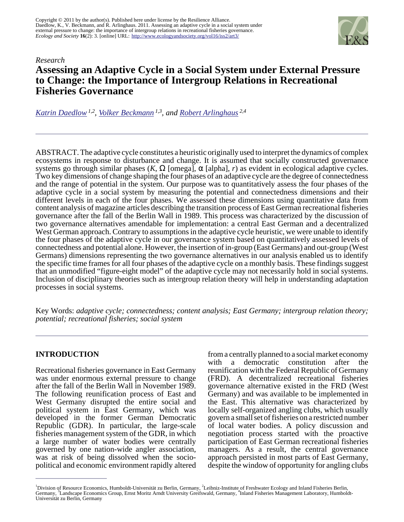

#### *Research*

# **Assessing an Adaptive Cycle in a Social System under External Pressure to Change: the Importance of Intergroup Relations in Recreational Fisheries Governance**

*[Katrin Daedlow](mailto:daedlowk@agrar.hu-berlin.de) 1,2 , [Volker Beckmann](mailto:v.beckmann@agrar.hu-berlin.de) 1,3, and [Robert Arlinghaus](mailto:arlinghaus@igb-berlin.de) 2,4*

ABSTRACT. The adaptive cycle constitutes a heuristic originally used to interpret the dynamics of complex ecosystems in response to disturbance and change. It is assumed that socially constructed governance systems go through similar phases  $(K, \Omega)$  [omega],  $\alpha$  [alpha], *r*) as evident in ecological adaptive cycles. Two key dimensions of change shaping the four phases of an adaptive cycle are the degree of connectedness and the range of potential in the system. Our purpose was to quantitatively assess the four phases of the adaptive cycle in a social system by measuring the potential and connectedness dimensions and their different levels in each of the four phases. We assessed these dimensions using quantitative data from content analysis of magazine articles describing the transition process of East German recreational fisheries governance after the fall of the Berlin Wall in 1989. This process was characterized by the discussion of two governance alternatives amendable for implementation: a central East German and a decentralized West German approach. Contrary to assumptions in the adaptive cycle heuristic, we were unable to identify the four phases of the adaptive cycle in our governance system based on quantitatively assessed levels of connectedness and potential alone. However, the insertion of in-group (East Germans) and out-group (West Germans) dimensions representing the two governance alternatives in our analysis enabled us to identify the specific time frames for all four phases of the adaptive cycle on a monthly basis. These findings suggest that an unmodified "figure-eight model" of the adaptive cycle may not necessarily hold in social systems. Inclusion of disciplinary theories such as intergroup relation theory will help in understanding adaptation processes in social systems.

Key Words: *adaptive cycle; connectedness; content analysis; East Germany; intergroup relation theory; potential; recreational fisheries; social system* 

## **INTRODUCTION**

Recreational fisheries governance in East Germany was under enormous external pressure to change after the fall of the Berlin Wall in November 1989. The following reunification process of East and West Germany disrupted the entire social and political system in East Germany, which was developed in the former German Democratic Republic (GDR). In particular, the large-scale fisheries management system of the GDR, in which a large number of water bodies were centrally governed by one nation-wide angler association, was at risk of being dissolved when the sociopolitical and economic environment rapidly altered from a centrally planned to a social market economy with a democratic constitution after the reunification with the Federal Republic of Germany (FRD). A decentralized recreational fisheries governance alternative existed in the FRD (West Germany) and was available to be implemented in the East. This alternative was characterized by locally self-organized angling clubs, which usually govern a small set of fisheries on a restricted number of local water bodies. A policy discussion and negotiation process started with the proactive participation of East German recreational fisheries managers. As a result, the central governance approach persisted in most parts of East Germany, despite the window of opportunity for angling clubs

<sup>&</sup>lt;sup>1</sup>Division of Resource Economics, Humboldt-Universität zu Berlin, Germany, <sup>2</sup>Leibniz-Institute of Freshwater Ecology and Inland Fisheries Berlin,<br>Germany, <sup>3</sup>Landscape Economics Group, Ernst Moritz Arndt University Greif Universität zu Berlin, Germany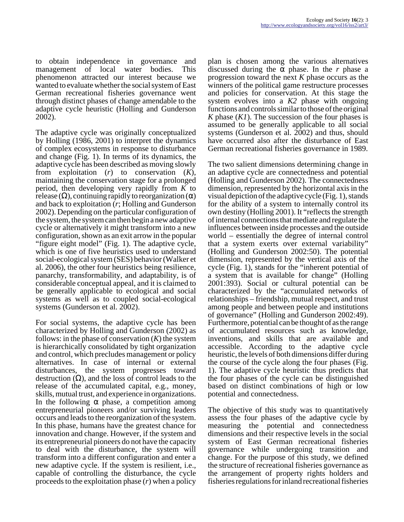to obtain independence in governance and management of local water bodies. This phenomenon attracted our interest because we wanted to evaluate whether the social system of East German recreational fisheries governance went through distinct phases of change amendable to the adaptive cycle heuristic (Holling and Gunderson 2002).

The adaptive cycle was originally conceptualized by Holling (1986, 2001) to interpret the dynamics of complex ecosystems in response to disturbance and change (Fig. 1). In terms of its dynamics, the adaptive cycle has been described as moving slowly from exploitation (*r*) to conservation (*K*), maintaining the conservation stage for a prolonged period, then developing very rapidly from *K* to release ( $\Omega$ ), continuing rapidly to reorganization ( $\alpha$ ) and back to exploitation (*r*; Holling and Gunderson 2002). Depending on the particular configuration of the system, the system can then begin a new adaptive cycle or alternatively it might transform into a new configuration, shown as an exit arrow in the popular "figure eight model" (Fig. 1). The adaptive cycle, which is one of five heuristics used to understand social-ecological system (SES) behavior (Walker et al. 2006), the other four heuristics being resilience, panarchy, transformability, and adaptability, is of considerable conceptual appeal, and it is claimed to be generally applicable to ecological and social systems as well as to coupled social-ecological systems (Gunderson et al. 2002).

For social systems, the adaptive cycle has been characterized by Holling and Gunderson (2002) as follows: in the phase of conservation (*K*) the system is hierarchically consolidated by tight organization and control, which precludes management or policy alternatives. In case of internal or external disturbances, the system progresses toward destruction  $(\Omega)$ , and the loss of control leads to the release of the accumulated capital, e.g., money, skills, mutual trust, and experience in organizations. In the following  $\alpha$  phase, a competition among entrepreneurial pioneers and/or surviving leaders occurs and leads to the reorganization of the system. In this phase, humans have the greatest chance for innovation and change. However, if the system and its entrepreneurial pioneers do not have the capacity to deal with the disturbance, the system will transform into a different configuration and enter a new adaptive cycle. If the system is resilient, i.e., capable of controlling the disturbance, the cycle proceeds to the exploitation phase (*r*) when a policy

plan is chosen among the various alternatives discussed during the α phase. In the *r* phase a progression toward the next *K* phase occurs as the winners of the political game restructure processes and policies for conservation. At this stage the system evolves into a *K2* phase with ongoing functions and controls similar to those of the original *K* phase (*K1*). The succession of the four phases is assumed to be generally applicable to all social systems (Gunderson et al. 2002) and thus, should have occurred also after the disturbance of East German recreational fisheries governance in 1989.

The two salient dimensions determining change in an adaptive cycle are connectedness and potential (Holling and Gunderson 2002). The connectedness dimension, represented by the horizontal axis in the visual depiction of the adaptive cycle (Fig. 1), stands for the ability of a system to internally control its own destiny (Holling 2001). It "reflects the strength of internal connections that mediate and regulate the influences between inside processes and the outside world – essentially the degree of internal control that a system exerts over external variability" (Holling and Gunderson 2002:50). The potential dimension, represented by the vertical axis of the cycle (Fig. 1), stands for the "inherent potential of a system that is available for change" (Holling 2001:393). Social or cultural potential can be characterized by the "accumulated networks of relationships – friendship, mutual respect, and trust among people and between people and institutions of governance" (Holling and Gunderson 2002:49). Furthermore, potential can be thought of as the range of accumulated resources such as knowledge, inventions, and skills that are available and accessible. According to the adaptive cycle heuristic, the levels of both dimensions differ during the course of the cycle along the four phases (Fig. 1). The adaptive cycle heuristic thus predicts that the four phases of the cycle can be distinguished based on distinct combinations of high or low potential and connectedness.

The objective of this study was to quantitatively assess the four phases of the adaptive cycle by measuring the potential and connectedness dimensions and their respective levels in the social system of East German recreational fisheries governance while undergoing transition and change. For the purpose of this study, we defined the structure of recreational fisheries governance as the arrangement of property rights holders and fisheries regulations for inland recreational fisheries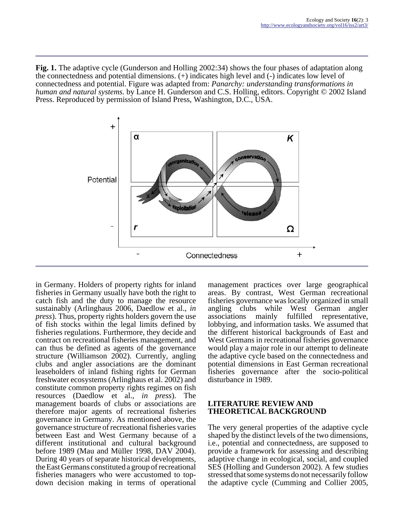**Fig. 1.** The adaptive cycle (Gunderson and Holling 2002:34) shows the four phases of adaptation along the connectedness and potential dimensions. (+) indicates high level and (-) indicates low level of connectedness and potential. Figure was adapted from: *Panarchy: understanding transformations in human and natural systems.* by Lance H. Gunderson and C.S. Holling, editors. Copyright © 2002 Island Press. Reproduced by permission of Island Press, Washington, D.C., USA.



in Germany. Holders of property rights for inland fisheries in Germany usually have both the right to catch fish and the duty to manage the resource sustainably (Arlinghaus 2006, Daedlow et al., *in press*). Thus, property rights holders govern the use of fish stocks within the legal limits defined by fisheries regulations. Furthermore, they decide and contract on recreational fisheries management, and can thus be defined as agents of the governance structure (Williamson 2002). Currently, angling clubs and angler associations are the dominant leaseholders of inland fishing rights for German freshwater ecosystems (Arlinghaus et al. 2002) and constitute common property rights regimes on fish resources (Daedlow et al., *in press*). The management boards of clubs or associations are therefore major agents of recreational fisheries governance in Germany. As mentioned above, the governance structure of recreational fisheries varies between East and West Germany because of a different institutional and cultural background before 1989 (Mau and Müller 1998, DAV 2004). During 40 years of separate historical developments, the East Germans constituted a group of recreational fisheries managers who were accustomed to topdown decision making in terms of operational

management practices over large geographical areas. By contrast, West German recreational fisheries governance was locally organized in small angling clubs while West German angler associations mainly fulfilled representative, lobbying, and information tasks. We assumed that the different historical backgrounds of East and West Germans in recreational fisheries governance would play a major role in our attempt to delineate the adaptive cycle based on the connectedness and potential dimensions in East German recreational fisheries governance after the socio-political disturbance in 1989.

## **LITERATURE REVIEW AND THEORETICAL BACKGROUND**

The very general properties of the adaptive cycle shaped by the distinct levels of the two dimensions, i.e., potential and connectedness, are supposed to provide a framework for assessing and describing adaptive change in ecological, social, and coupled SES (Holling and Gunderson 2002). A few studies stressed that some systems do not necessarily follow the adaptive cycle (Cumming and Collier 2005,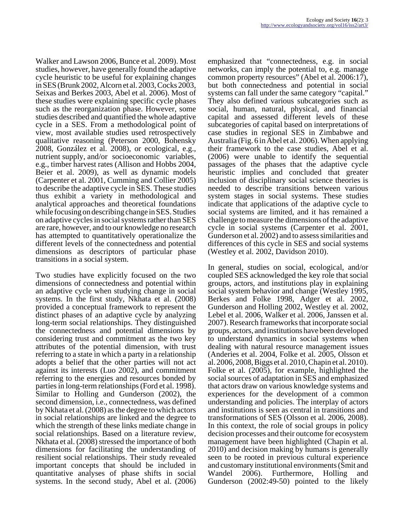Walker and Lawson 2006, Bunce et al. 2009). Most studies, however, have generally found the adaptive cycle heuristic to be useful for explaining changes in SES (Brunk 2002, Alcorn et al. 2003, Cocks 2003, Seixas and Berkes 2003, Abel et al. 2006). Most of these studies were explaining specific cycle phases such as the reorganization phase. However, some studies described and quantified the whole adaptive cycle in a SES. From a methodological point of view, most available studies used retrospectively qualitative reasoning (Peterson 2000, Bohensky 2008, González et al. 2008), or ecological, e.g., nutrient supply, and/or socioeconomic variables, e.g., timber harvest rates (Allison and Hobbs 2004, Beier et al. 2009), as well as dynamic models (Carpenter et al. 2001, Cumming and Collier 2005) to describe the adaptive cycle in SES. These studies thus exhibit a variety in methodological and analytical approaches and theoretical foundations while focusing on describing change in SES. Studies on adaptive cycles in social systems rather than SES are rare, however, and to our knowledge no research has attempted to quantitatively operationalize the different levels of the connectedness and potential dimensions as descriptors of particular phase transitions in a social system.

Two studies have explicitly focused on the two dimensions of connectedness and potential within an adaptive cycle when studying change in social systems. In the first study, Nkhata et al. (2008) provided a conceptual framework to represent the distinct phases of an adaptive cycle by analyzing long-term social relationships. They distinguished the connectedness and potential dimensions by considering trust and commitment as the two key attributes of the potential dimension, with trust referring to a state in which a party in a relationship adopts a belief that the other parties will not act against its interests (Luo 2002), and commitment referring to the energies and resources bonded by parties in long-term relationships (Ford et al. 1998). Similar to Holling and Gunderson (2002), the second dimension, i.e., connectedness, was defined by Nkhata et al. (2008) as the degree to which actors in social relationships are linked and the degree to which the strength of these links mediate change in social relationships. Based on a literature review, Nkhata et al. (2008) stressed the importance of both dimensions for facilitating the understanding of resilient social relationships. Their study revealed important concepts that should be included in quantitative analyses of phase shifts in social systems. In the second study, Abel et al. (2006)

emphasized that "connectedness, e.g. in social networks, can imply the potential to, e.g. manage common property resources" (Abel et al. 2006:17), but both connectedness and potential in social systems can fall under the same category "capital." They also defined various subcategories such as social, human, natural, physical, and financial capital and assessed different levels of these subcategories of capital based on interpretations of case studies in regional SES in Zimbabwe and Australia (Fig. 6 in Abel et al. 2006). When applying their framework to the case studies, Abel et al. (2006) were unable to identify the sequential passages of the phases that the adaptive cycle heuristic implies and concluded that greater inclusion of disciplinary social science theories is needed to describe transitions between various system stages in social systems. These studies indicate that applications of the adaptive cycle to social systems are limited, and it has remained a challenge to measure the dimensions of the adaptive cycle in social systems (Carpenter et al. 2001, Gunderson et al. 2002) and to assess similarities and differences of this cycle in SES and social systems (Westley et al. 2002, Davidson 2010).

In general, studies on social, ecological, and/or coupled SES acknowledged the key role that social groups, actors, and institutions play in explaining social system behavior and change (Westley 1995, Berkes and Folke 1998, Adger et al. 2002, Gunderson and Holling 2002, Westley et al. 2002, Lebel et al. 2006, Walker et al. 2006, Janssen et al. 2007). Research frameworks that incorporate social groups, actors, and institutions have been developed to understand dynamics in social systems when dealing with natural resource management issues (Anderies et al. 2004, Folke et al. 2005, Olsson et al. 2006, 2008, Biggs et al. 2010, Chapin et al. 2010). Folke et al. (2005), for example, highlighted the social sources of adaptation in SES and emphasized that actors draw on various knowledge systems and experiences for the development of a common understanding and policies. The interplay of actors and institutions is seen as central in transitions and transformations of SES (Olsson et al. 2006, 2008). In this context, the role of social groups in policy decision processes and their outcome for ecosystem management have been highlighted (Chapin et al. 2010) and decision making by humans is generally seen to be rooted in previous cultural experience and customary institutional environments (Smit and Wandel 2006). Furthermore, Holling and Gunderson (2002:49-50) pointed to the likely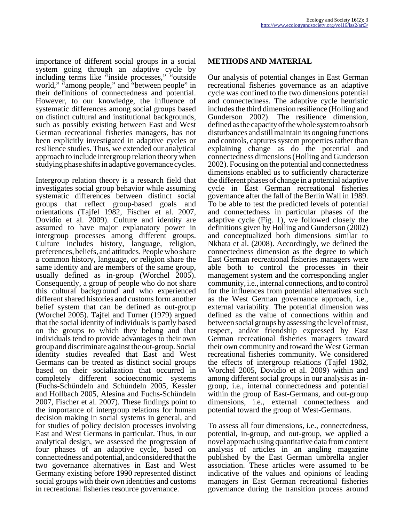importance of different social groups in a social system going through an adaptive cycle by including terms like "inside processes," "outside world," "among people," and "between people" in their definitions of connectedness and potential. However, to our knowledge, the influence of systematic differences among social groups based on distinct cultural and institutional backgrounds, such as possibly existing between East and West German recreational fisheries managers, has not been explicitly investigated in adaptive cycles or resilience studies. Thus, we extended our analytical approach to include intergroup relation theory when studying phase shifts in adaptive governance cycles.

Intergroup relation theory is a research field that investigates social group behavior while assuming systematic differences between distinct social groups that reflect group-based goals and orientations (Tajfel 1982, Fischer et al. 2007, Dovidio et al. 2009). Culture and identity are assumed to have major explanatory power in intergroup processes among different groups. Culture includes history, language, religion, preferences, beliefs, and attitudes. People who share a common history, language, or religion share the same identity and are members of the same group, usually defined as in-group (Worchel 2005). Consequently, a group of people who do not share this cultural background and who experienced different shared histories and customs form another belief system that can be defined as out-group (Worchel 2005). Tajfel and Turner (1979) argued that the social identity of individuals is partly based on the groups to which they belong and that individuals tend to provide advantages to their own group and discriminate against the out-group. Social identity studies revealed that East and West Germans can be treated as distinct social groups based on their socialization that occurred in completely different socioeconomic systems (Fuchs-Schündeln and Schündeln 2005, Kessler and Hollbach 2005, Alesina and Fuchs-Schündeln 2007, Fischer et al. 2007). These findings point to the importance of intergroup relations for human decision making in social systems in general, and for studies of policy decision processes involving East and West Germans in particular. Thus, in our analytical design, we assessed the progression of four phases of an adaptive cycle, based on connectedness and potential, and considered that the two governance alternatives in East and West Germany existing before 1990 represented distinct social groups with their own identities and customs in recreational fisheries resource governance.

#### **METHODS AND MATERIAL**

Our analysis of potential changes in East German recreational fisheries governance as an adaptive cycle was confined to the two dimensions potential and connectedness. The adaptive cycle heuristic includes the third dimension resilience (Holling and Gunderson 2002). The resilience dimension, defined as the capacity of the whole system to absorb disturbances and still maintain its ongoing functions and controls, captures system properties rather than explaining change as do the potential and connectedness dimensions (Holling and Gunderson 2002). Focusing on the potential and connectedness dimensions enabled us to sufficiently characterize the different phases of change in a potential adaptive cycle in East German recreational fisheries governance after the fall of the Berlin Wall in 1989. To be able to test the predicted levels of potential and connectedness in particular phases of the adaptive cycle (Fig. 1), we followed closely the definitions given by Holling and Gunderson (2002) and conceptualized both dimensions similar to Nkhata et al. (2008). Accordingly, we defined the connectedness dimension as the degree to which East German recreational fisheries managers were able both to control the processes in their management system and the corresponding angler community, i.e., internal connections, and to control for the influences from potential alternatives such as the West German governance approach, i.e., external variability. The potential dimension was defined as the value of connections within and between social groups by assessing the level of trust, respect, and/or friendship expressed by East German recreational fisheries managers toward their own community and toward the West German recreational fisheries community. We considered the effects of intergroup relations (Tajfel 1982, Worchel 2005, Dovidio et al. 2009) within and among different social groups in our analysis as ingroup, i.e., internal connectedness and potential within the group of East-Germans, and out-group dimensions, i.e., external connectedness and potential toward the group of West-Germans.

To assess all four dimensions, i.e., connectedness, potential, in-group, and out-group, we applied a novel approach using quantitative data from content analysis of articles in an angling magazine published by the East German umbrella angler association. These articles were assumed to be indicative of the values and opinions of leading managers in East German recreational fisheries governance during the transition process around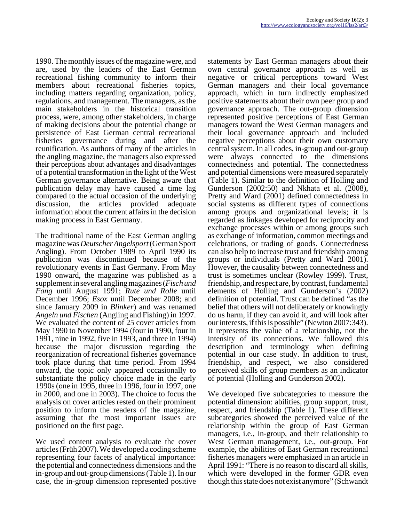1990. The monthly issues of the magazine were, and are, used by the leaders of the East German recreational fishing community to inform their members about recreational fisheries topics, including matters regarding organization, policy, regulations, and management. The managers, as the main stakeholders in the historical transition process, were, among other stakeholders, in charge of making decisions about the potential change or persistence of East German central recreational fisheries governance during and after the reunification. As authors of many of the articles in the angling magazine, the managers also expressed their perceptions about advantages and disadvantages of a potential transformation in the light of the West German governance alternative. Being aware that publication delay may have caused a time lag compared to the actual occasion of the underlying discussion, the articles provided adequate information about the current affairs in the decision making process in East Germany.

The traditional name of the East German angling magazine was *Deutscher Angelsport* (German Sport Angling). From October 1989 to April 1990 its publication was discontinued because of the revolutionary events in East Germany. From May 1990 onward, the magazine was published as a supplement in several angling magazines (*Fisch und Fang* until August 1991; *Rute und Rolle* until December 1996; *Esox* until December 2008; and since January 2009 in *Blinker*) and was renamed *Angeln und Fischen* (Angling and Fishing) in 1997. We evaluated the content of 25 cover articles from May 1990 to November 1994 (four in 1990, four in 1991, nine in 1992, five in 1993, and three in 1994) because the major discussion regarding the reorganization of recreational fisheries governance took place during that time period. From 1994 onward, the topic only appeared occasionally to substantiate the policy choice made in the early 1990s (one in 1995, three in 1996, four in 1997, one in 2000, and one in 2003). The choice to focus the analysis on cover articles rested on their prominent position to inform the readers of the magazine, assuming that the most important issues are positioned on the first page.

We used content analysis to evaluate the cover articles (Früh 2007). We developed a coding scheme representing four facets of analytical importance: the potential and connectedness dimensions and the in-group and out-group dimensions (Table 1). In our case, the in-group dimension represented positive

statements by East German managers about their own central governance approach as well as negative or critical perceptions toward West German managers and their local governance approach, which in turn indirectly emphasized positive statements about their own peer group and governance approach. The out-group dimension represented positive perceptions of East German managers toward the West German managers and their local governance approach and included negative perceptions about their own customary central system. In all codes, in-group and out-group were always connected to the dimensions connectedness and potential. The connectedness and potential dimensions were measured separately (Table 1). Similar to the definition of Holling and Gunderson (2002:50) and Nkhata et al. (2008), Pretty and Ward (2001) defined connectedness in social systems as different types of connections among groups and organizational levels; it is regarded as linkages developed for reciprocity and exchange processes within or among groups such as exchange of information, common meetings and celebrations, or trading of goods. Connectedness can also help to increase trust and friendship among groups or individuals (Pretty and Ward 2001). However, the causality between connectedness and trust is sometimes unclear (Rowley 1999). Trust, friendship, and respect are, by contrast, fundamental elements of Holling and Gunderson's (2002) definition of potential. Trust can be defined "as the belief that others will not deliberately or knowingly do us harm, if they can avoid it, and will look after our interests, if this is possible" (Newton 2007:343). It represents the value of a relationship, not the intensity of its connections. We followed this description and terminology when defining potential in our case study. In addition to trust, friendship, and respect, we also considered perceived skills of group members as an indicator of potential (Holling and Gunderson 2002).

We developed five subcategories to measure the potential dimension: abilities, group support, trust, respect, and friendship (Table 1). These different subcategories showed the perceived value of the relationship within the group of East German managers, i.e., in-group, and their relationship to West German management, i.e., out-group. For example, the abilities of East German recreational fisheries managers were emphasized in an article in April 1991: "There is no reason to discard all skills, which were developed in the former GDR even though this state does not exist anymore" (Schwandt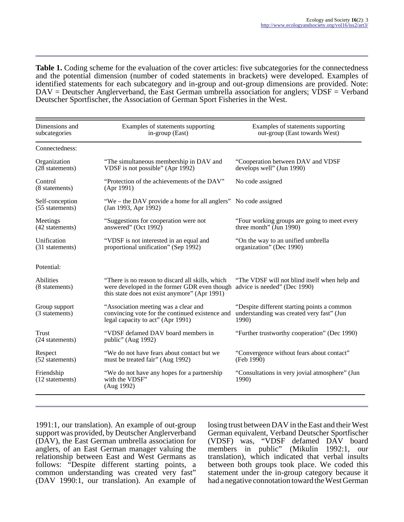**Table 1.** Coding scheme for the evaluation of the cover articles: five subcategories for the connectedness and the potential dimension (number of coded statements in brackets) were developed. Examples of identified statements for each subcategory and in-group and out-group dimensions are provided. Note: DAV = Deutscher Anglerverband, the East German umbrella association for anglers; VDSF = Verband Deutscher Sportfischer, the Association of German Sport Fisheries in the West.

| Examples of statements supporting<br>Examples of statements supporting<br>out-group (East towards West)<br>in-group (East)                        |                                                                                                                                                                |  |  |  |
|---------------------------------------------------------------------------------------------------------------------------------------------------|----------------------------------------------------------------------------------------------------------------------------------------------------------------|--|--|--|
|                                                                                                                                                   |                                                                                                                                                                |  |  |  |
| "The simultaneous membership in DAV and<br>VDSF is not possible" (Apr 1992)                                                                       | "Cooperation between DAV and VDSF<br>develops well" (Jun 1990)                                                                                                 |  |  |  |
| No code assigned                                                                                                                                  |                                                                                                                                                                |  |  |  |
| "We – the DAV provide a home for all anglers" No code assigned<br>(Jan 1993, Apr 1992)                                                            |                                                                                                                                                                |  |  |  |
| "Suggestions for cooperation were not<br>answered" (Oct 1992)                                                                                     | "Four working groups are going to meet every<br>three month" $\tilde{J}$ Uun 1990)                                                                             |  |  |  |
| "VDSF is not interested in an equal and<br>"On the way to an unified umbrella<br>proportional unification" (Sep 1992)<br>organization" (Dec 1990) |                                                                                                                                                                |  |  |  |
|                                                                                                                                                   |                                                                                                                                                                |  |  |  |
| "The VDSF will not blind itself when help and<br>were developed in the former GDR even though advice is needed" (Dec 1990)                        |                                                                                                                                                                |  |  |  |
| "Association meeting was a clear and<br>convincing vote for the continued existence and<br>legal capacity to act" (Apr 1991)                      | "Despite different starting points a common<br>understanding was created very fast" (Jun<br>1990)                                                              |  |  |  |
| "VDSF defamed DAV board members in<br>"Further trustworthy cooperation" (Dec 1990)<br>public" (Aug 1992)                                          |                                                                                                                                                                |  |  |  |
| "We do not have fears about contact but we<br>must be treated fair" (Aug 1992)                                                                    | "Convergence without fears about contact"<br>(Feb 1990)                                                                                                        |  |  |  |
| "We do not have any hopes for a partnership"<br>with the VDSF"<br>(Aug 1992)                                                                      | "Consultations in very jovial atmosphere" (Jun<br>1990)                                                                                                        |  |  |  |
|                                                                                                                                                   | "Protection of the achievements of the DAV"<br>(Apr 1991)<br>"There is no reason to discard all skills, which<br>this state does not exist anymore" (Apr 1991) |  |  |  |

1991:1, our translation). An example of out-group support was provided, by Deutscher Anglerverband (DAV), the East German umbrella association for anglers, of an East German manager valuing the relationship between East and West Germans as follows: "Despite different starting points, a common understanding was created very fast" (DAV 1990:1, our translation). An example of losing trust between DAV in the East and their West German equivalent, Verband Deutscher Sportfischer (VDSF) was, "VDSF defamed DAV board members in public" (Mikulin 1992:1, our translation), which indicated that verbal insults between both groups took place. We coded this statement under the in-group category because it had a negative connotation toward the West German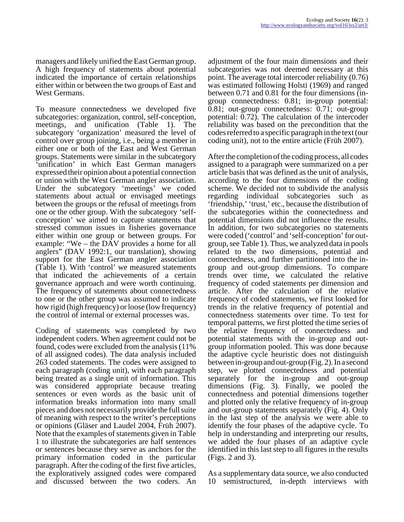managers and likely unified the East German group. A high frequency of statements about potential indicated the importance of certain relationships either within or between the two groups of East and West Germans.

To measure connectedness we developed five subcategories: organization, control, self-conception, meetings, and unification (Table 1). The subcategory 'organization' measured the level of control over group joining, i.e., being a member in either one or both of the East and West German groups. Statements were similar in the subcategory 'unification' in which East German managers expressed their opinion about a potential connection or union with the West German angler association. Under the subcategory 'meetings' we coded statements about actual or envisaged meetings between the groups or the refusal of meetings from one or the other group. With the subcategory 'selfconception' we aimed to capture statements that stressed common issues in fisheries governance either within one group or between groups. For example: "We – the DAV provides a home for all anglers" (DAV 1992:1, our translation), showing support for the East German angler association (Table 1). With 'control' we measured statements that indicated the achievements of a certain governance approach and were worth continuing. The frequency of statements about connectedness to one or the other group was assumed to indicate how rigid (high frequency) or loose (low frequency) the control of internal or external processes was.

Coding of statements was completed by two independent coders. When agreement could not be found, codes were excluded from the analysis (11% of all assigned codes). The data analysis included 263 coded statements. The codes were assigned to each paragraph (coding unit), with each paragraph being treated as a single unit of information. This was considered appropriate because treating sentences or even words as the basic unit of information breaks information into many small pieces and does not necessarily provide the full suite of meaning with respect to the writer's perceptions or opinions (Gläser and Laudel 2004, Früh 2007). Note that the examples of statements given in Table 1 to illustrate the subcategories are half sentences or sentences because they serve as anchors for the primary information coded in the particular paragraph. After the coding of the first five articles, the exploratively assigned codes were compared and discussed between the two coders. An

adjustment of the four main dimensions and their subcategories was not deemed necessary at this point. The average total intercoder reliability (0.76) was estimated following Holsti (1969) and ranged between 0.71 and 0.81 for the four dimensions (ingroup connectedness: 0.81; in-group potential: 0.81; out-group connectedness: 0.71; out-group potential: 0.72). The calculation of the intercoder reliability was based on the precondition that the codes referred to a specific paragraph in the text (our coding unit), not to the entire article (Früh 2007).

After the completion of the coding process, all codes assigned to a paragraph were summarized on a per article basis that was defined as the unit of analysis, according to the four dimensions of the coding scheme. We decided not to subdivide the analysis regarding individual subcategories such as 'friendship,' 'trust,' etc., because the distribution of the subcategories within the connectedness and potential dimensions did not influence the results. In addition, for two subcategories no statements were coded ('control' and 'self-conception' for outgroup, see Table 1). Thus, we analyzed data in pools related to the two dimensions, potential and connectedness, and further partitioned into the ingroup and out-group dimensions. To compare trends over time, we calculated the relative frequency of coded statements per dimension and article. After the calculation of the relative frequency of coded statements, we first looked for trends in the relative frequency of potential and connectedness statements over time. To test for temporal patterns, we first plotted the time series of the relative frequency of connectedness and potential statements with the in-group and outgroup information pooled. This was done because the adaptive cycle heuristic does not distinguish between in-group and out-group (Fig. 2). In a second step, we plotted connectedness and potential separately for the in-group and out-group dimensions (Fig. 3). Finally, we pooled the connectedness and potential dimensions together and plotted only the relative frequency of in-group and out-group statements separately (Fig. 4). Only in the last step of the analysis we were able to identify the four phases of the adaptive cycle. To help in understanding and interpreting our results, we added the four phases of an adaptive cycle identified in this last step to all figures in the results (Figs. 2 and 3).

As a supplementary data source, we also conducted 10 semistructured, in-depth interviews with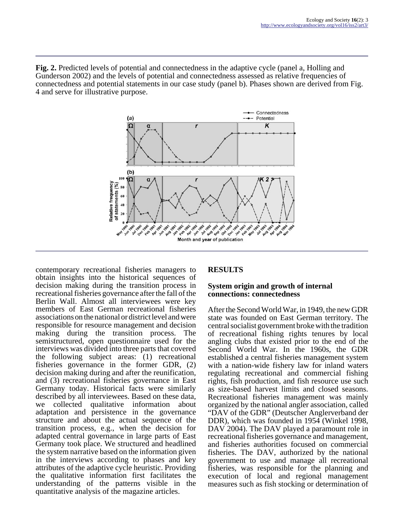**Fig. 2.** Predicted levels of potential and connectedness in the adaptive cycle (panel a, Holling and Gunderson 2002) and the levels of potential and connectedness assessed as relative frequencies of connectedness and potential statements in our case study (panel b). Phases shown are derived from Fig. 4 and serve for illustrative purpose.



contemporary recreational fisheries managers to obtain insights into the historical sequences of decision making during the transition process in recreational fisheries governance after the fall of the Berlin Wall. Almost all interviewees were key members of East German recreational fisheries associations on the national or district level and were responsible for resource management and decision making during the transition process. The semistructured, open questionnaire used for the interviews was divided into three parts that covered the following subject areas: (1) recreational fisheries governance in the former GDR, (2) decision making during and after the reunification, and (3) recreational fisheries governance in East Germany today. Historical facts were similarly described by all interviewees. Based on these data, we collected qualitative information about adaptation and persistence in the governance structure and about the actual sequence of the transition process, e.g., when the decision for adapted central governance in large parts of East Germany took place. We structured and headlined the system narrative based on the information given in the interviews according to phases and key attributes of the adaptive cycle heuristic. Providing the qualitative information first facilitates the understanding of the patterns visible in the quantitative analysis of the magazine articles.

# **RESULTS**

## **System origin and growth of internal connections: connectedness**

After the Second World War, in 1949, the new GDR state was founded on East German territory. The central socialist government broke with the tradition of recreational fishing rights tenures by local angling clubs that existed prior to the end of the Second World War. In the 1960s, the GDR established a central fisheries management system with a nation-wide fishery law for inland waters regulating recreational and commercial fishing rights, fish production, and fish resource use such as size-based harvest limits and closed seasons. Recreational fisheries management was mainly organized by the national angler association, called "DAV of the GDR" (Deutscher Anglerverband der DDR), which was founded in 1954 (Winkel 1998, DAV 2004). The DAV played a paramount role in recreational fisheries governance and management, and fisheries authorities focused on commercial fisheries. The DAV, authorized by the national government to use and manage all recreational fisheries, was responsible for the planning and execution of local and regional management measures such as fish stocking or determination of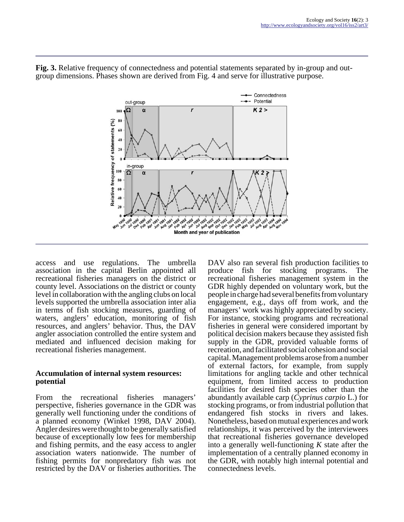

**Fig. 3.** Relative frequency of connectedness and potential statements separated by in-group and outgroup dimensions. Phases shown are derived from Fig. 4 and serve for illustrative purpose.

access and use regulations. The umbrella association in the capital Berlin appointed all recreational fisheries managers on the district or county level. Associations on the district or county level in collaboration with the angling clubs on local levels supported the umbrella association inter alia in terms of fish stocking measures, guarding of waters, anglers' education, monitoring of fish resources, and anglers' behavior. Thus, the DAV angler association controlled the entire system and mediated and influenced decision making for recreational fisheries management.

#### **Accumulation of internal system resources: potential**

From the recreational fisheries managers' perspective, fisheries governance in the GDR was generally well functioning under the conditions of a planned economy (Winkel 1998, DAV 2004). Angler desires were thought to be generally satisfied because of exceptionally low fees for membership and fishing permits, and the easy access to angler association waters nationwide. The number of fishing permits for nonpredatory fish was not restricted by the DAV or fisheries authorities. The

DAV also ran several fish production facilities to produce fish for stocking programs. The recreational fisheries management system in the GDR highly depended on voluntary work, but the people in charge had several benefits from voluntary engagement, e.g., days off from work, and the managers' work was highly appreciated by society. For instance, stocking programs and recreational fisheries in general were considered important by political decision makers because they assisted fish supply in the GDR, provided valuable forms of recreation, and facilitated social cohesion and social capital. Management problems arose from a number of external factors, for example, from supply limitations for angling tackle and other technical equipment, from limited access to production facilities for desired fish species other than the abundantly available carp (*Cyprinus carpio* L.) for stocking programs, or from industrial pollution that endangered fish stocks in rivers and lakes. Nonetheless, based on mutual experiences and work relationships, it was perceived by the interviewees that recreational fisheries governance developed into a generally well-functioning *K* state after the implementation of a centrally planned economy in the GDR, with notably high internal potential and connectedness levels.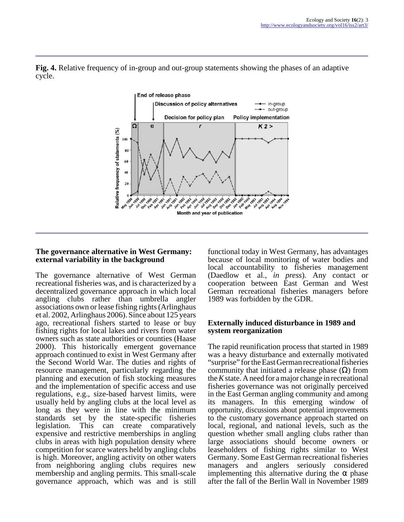

**Fig. 4.** Relative frequency of in-group and out-group statements showing the phases of an adaptive cycle.

#### **The governance alternative in West Germany: external variability in the background**

The governance alternative of West German recreational fisheries was, and is characterized by a decentralized governance approach in which local angling clubs rather than umbrella angler associations own or lease fishing rights (Arlinghaus et al. 2002, Arlinghaus 2006). Since about 125 years ago, recreational fishers started to lease or buy fishing rights for local lakes and rivers from water owners such as state authorities or counties (Haase 2000). This historically emergent governance approach continued to exist in West Germany after the Second World War. The duties and rights of resource management, particularly regarding the planning and execution of fish stocking measures and the implementation of specific access and use regulations, e.g., size-based harvest limits, were usually held by angling clubs at the local level as long as they were in line with the minimum standards set by the state-specific fisheries legislation. This can create comparatively expensive and restrictive memberships in angling clubs in areas with high population density where competition for scarce waters held by angling clubs is high. Moreover, angling activity on other waters from neighboring angling clubs requires new membership and angling permits. This small-scale governance approach, which was and is still

functional today in West Germany, has advantages because of local monitoring of water bodies and local accountability to fisheries management (Daedlow et al., *in press*). Any contact or cooperation between East German and West German recreational fisheries managers before 1989 was forbidden by the GDR.

## **Externally induced disturbance in 1989 and system reorganization**

The rapid reunification process that started in 1989 was a heavy disturbance and externally motivated "surprise" for the East German recreational fisheries community that initiated a release phase  $(\Omega)$  from the *K* state. A need for a major change in recreational fisheries governance was not originally perceived in the East German angling community and among its managers. In this emerging window of opportunity, discussions about potential improvements to the customary governance approach started on local, regional, and national levels, such as the question whether small angling clubs rather than large associations should become owners or leaseholders of fishing rights similar to West Germany. Some East German recreational fisheries managers and anglers seriously considered implementing this alternative during the  $\alpha$  phase after the fall of the Berlin Wall in November 1989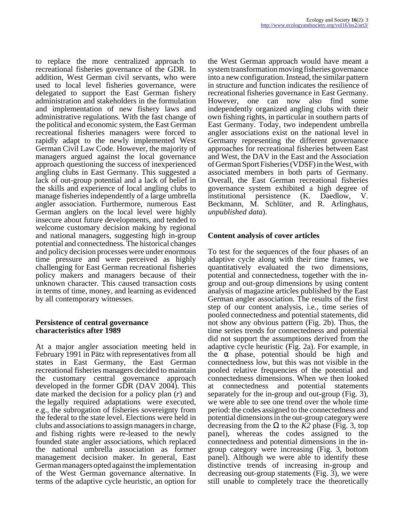to replace the more centralized approach to recreational fisheries governance of the GDR. In addition, West German civil servants, who were used to local level fisheries governance, were delegated to support the East German fishery administration and stakeholders in the formulation and implementation of new fishery laws and administrative regulations. With the fast change of the political and economic system, the East German recreational fisheries managers were forced to rapidly adapt to the newly implemented West German Civil Law Code. However, the majority of managers argued against the local governance approach questioning the success of inexperienced angling clubs in East Germany. This suggested a lack of out-group potential and a lack of belief in the skills and experience of local angling clubs to manage fisheries independently of a large umbrella angler association. Furthermore, numerous East German anglers on the local level were highly insecure about future developments, and tended to welcome customary decision making by regional and national managers, suggesting high in-group potential and connectedness. The historical changes and policy decision processes were under enormous time pressure and were perceived as highly challenging for East German recreational fisheries policy makers and managers because of their unknown character. This caused transaction costs in terms of time, money, and learning as evidenced by all contemporary witnesses.

## **Persistence of central governance characteristics after 1989**

At a major angler association meeting held in February 1991 in Pätz with representatives from all states in East Germany, the East German recreational fisheries managers decided to maintain the customary central governance approach developed in the former GDR (DAV 2004). This date marked the decision for a policy plan (*r*) and the legally required adaptations were executed, e.g., the subrogation of fisheries sovereignty from the federal to the state level. Elections were held in clubs and associations to assign managers in charge, and fishing rights were re-leased to the newly founded state angler associations, which replaced the national umbrella association as former management decision maker. In general, East German managers opted against the implementation of the West German governance alternative. In terms of the adaptive cycle heuristic, an option for

the West German approach would have meant a system transformation moving fisheries governance into a new configuration. Instead, the similar pattern in structure and function indicates the resilience of recreational fisheries governance in East Germany. However, one can now also find some independently organized angling clubs with their own fishing rights, in particular in southern parts of East Germany. Today, two independent umbrella angler associations exist on the national level in Germany representing the different governance approaches for recreational fisheries between East and West, the DAV in the East and the Association of German Sport Fisheries (VDSF) in the West, with associated members in both parts of Germany. Overall, the East German recreational fisheries governance system exhibited a high degree of institutional persistence (K. Daedlow, V. Beckmann, M. Schlüter, and R. Arlinghaus, *unpublished data*).

## **Content analysis of cover articles**

To test for the sequences of the four phases of an adaptive cycle along with their time frames, we quantitatively evaluated the two dimensions, potential and connectedness, together with the ingroup and out-group dimensions by using content analysis of magazine articles published by the East German angler association. The results of the first step of our content analysis, i.e., time series of pooled connectedness and potential statements, did not show any obvious pattern (Fig. 2b). Thus, the time series trends for connectedness and potential did not support the assumptions derived from the adaptive cycle heuristic (Fig. 2a). For example, in the  $\alpha$  phase, potential should be high and connectedness low, but this was not visible in the pooled relative frequencies of the potential and connectedness dimensions. When we then looked at connectedness and potential statements separately for the in-group and out-group (Fig. 3), we were able to see one trend over the whole time period: the codes assigned to the connectedness and potential dimensions in the out-group category were decreasing from the  $Ω$  to the  $K2$  phase (Fig. 3, top panel), whereas the codes assigned to the connectedness and potential dimensions in the ingroup category were increasing (Fig. 3, bottom panel). Although we were able to identify these distinctive trends of increasing in-group and decreasing out-group statements (Fig. 3), we were still unable to completely trace the theoretically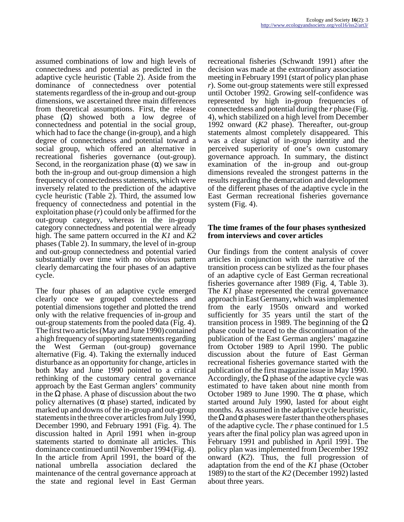assumed combinations of low and high levels of connectedness and potential as predicted in the adaptive cycle heuristic (Table 2). Aside from the dominance of connectedness over potential statements regardless of the in-group and out-group dimensions, we ascertained three main differences from theoretical assumptions. First, the release phase  $(\Omega)$  showed both a low degree of connectedness and potential in the social group, which had to face the change (in-group), and a high degree of connectedness and potential toward a social group, which offered an alternative in recreational fisheries governance (out-group). Second, in the reorganization phase  $(\alpha)$  we saw in both the in-group and out-group dimension a high frequency of connectedness statements, which were inversely related to the prediction of the adaptive cycle heuristic (Table 2). Third, the assumed low frequency of connectedness and potential in the exploitation phase (*r*) could only be affirmed for the out-group category, whereas in the in-group category connectedness and potential were already high. The same pattern occurred in the *K1* and *K2* phases (Table 2). In summary, the level of in-group and out-group connectedness and potential varied substantially over time with no obvious pattern clearly demarcating the four phases of an adaptive cycle.

The four phases of an adaptive cycle emerged clearly once we grouped connectedness and potential dimensions together and plotted the trend only with the relative frequencies of in-group and out-group statements from the pooled data (Fig. 4). The first two articles (May and June 1990) contained a high frequency of supporting statements regarding the West German (out-group) governance alternative (Fig. 4). Taking the externally induced disturbance as an opportunity for change, articles in both May and June 1990 pointed to a critical rethinking of the customary central governance approach by the East German anglers' community in the  $\Omega$  phase. A phase of discussion about the two policy alternatives  $(\alpha$  phase) started, indicated by marked up and downs of the in-group and out-group statements in the three cover articles from July 1990, December 1990, and February 1991 (Fig. 4). The discussion halted in April 1991 when in-group statements started to dominate all articles. This dominance continued until November 1994 (Fig. 4). In the article from April 1991, the board of the national umbrella association declared the maintenance of the central governance approach at the state and regional level in East German

recreational fisheries (Schwandt 1991) after the decision was made at the extraordinary association meeting in February 1991 (start of policy plan phase *r*). Some out-group statements were still expressed until October 1992. Growing self-confidence was represented by high in-group frequencies of connectedness and potential during the *r* phase (Fig. 4), which stabilized on a high level from December 1992 onward (*K2* phase). Thereafter, out-group statements almost completely disappeared. This was a clear signal of in-group identity and the perceived superiority of one's own customary governance approach. In summary, the distinct examination of the in-group and out-group dimensions revealed the strongest patterns in the results regarding the demarcation and development of the different phases of the adaptive cycle in the East German recreational fisheries governance system (Fig. 4).

#### **The time frames of the four phases synthesized from interviews and cover articles**

Our findings from the content analysis of cover articles in conjunction with the narrative of the transition process can be stylized as the four phases of an adaptive cycle of East German recreational fisheries governance after 1989 (Fig. 4, Table 3). The *K1* phase represented the central governance approach in East Germany, which was implemented from the early 1950s onward and worked sufficiently for 35 years until the start of the transition process in 1989. The beginning of the  $\Omega$ phase could be traced to the discontinuation of the publication of the East German anglers' magazine from October 1989 to April 1990. The public discussion about the future of East German recreational fisheries governance started with the publication of the first magazine issue in May 1990. Accordingly, the  $\Omega$  phase of the adaptive cycle was estimated to have taken about nine month from October 1989 to June 1990. The  $\alpha$  phase, which started around July 1990, lasted for about eight months. As assumed in the adaptive cycle heuristic, the  $\Omega$  and  $\alpha$  phases were faster than the others phases of the adaptive cycle. The *r* phase continued for 1.5 years after the final policy plan was agreed upon in February 1991 and published in April 1991. The policy plan was implemented from December 1992 onward (*K2*). Thus, the full progression of adaptation from the end of the *K1* phase (October 1989) to the start of the *K2* (December 1992) lasted about three years.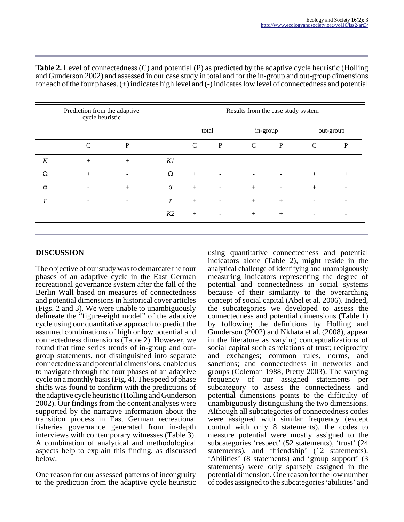|          | Prediction from the adaptive<br>cycle heuristic |              |          | Results from the case study system |              |                 |             |               |           |           |  |
|----------|-------------------------------------------------|--------------|----------|------------------------------------|--------------|-----------------|-------------|---------------|-----------|-----------|--|
|          |                                                 |              |          |                                    |              | total           |             | in-group      |           | out-group |  |
|          | $\mathsf{C}$                                    | $\mathbf{P}$ |          | $\mathcal{C}$                      | $\mathbf{P}$ | $\mathcal{C}$   | $\mathbf P$ | $\mathcal{C}$ | ${\bf P}$ |           |  |
| K        | $+$                                             | $+$          | K1       |                                    |              |                 |             |               |           |           |  |
| Ω        | $+$                                             |              | $\Omega$ | $^{+}$                             |              |                 |             | $+$           | $^{+}$    |           |  |
| $\alpha$ |                                                 | $+$          | $\alpha$ | $+$                                |              | $+$             |             | $+$           |           |           |  |
| r        |                                                 |              | r        | $^{+}$                             | -            | $+$             | $+$         |               |           |           |  |
|          |                                                 |              | K2       | $^{+}$                             | -            | $\! + \!\!\!\!$ | $+$         |               |           |           |  |
|          |                                                 |              |          |                                    |              |                 |             |               |           |           |  |

**Table 2.** Level of connectedness (C) and potential (P) as predicted by the adaptive cycle heuristic (Holling and Gunderson 2002) and assessed in our case study in total and for the in-group and out-group dimensions for each of the four phases. (+) indicates high level and (-) indicates low level of connectedness and potential

# **DISCUSSION**

The objective of our study was to demarcate the four phases of an adaptive cycle in the East German recreational governance system after the fall of the Berlin Wall based on measures of connectedness and potential dimensions in historical cover articles (Figs. 2 and 3). We were unable to unambiguously delineate the "figure-eight model" of the adaptive cycle using our quantitative approach to predict the assumed combinations of high or low potential and connectedness dimensions (Table 2). However, we found that time series trends of in-group and outgroup statements, not distinguished into separate connectedness and potential dimensions, enabled us to navigate through the four phases of an adaptive cycle on a monthly basis (Fig. 4). The speed of phase shifts was found to confirm with the predictions of the adaptive cycle heuristic (Holling and Gunderson 2002). Our findings from the content analyses were supported by the narrative information about the transition process in East German recreational fisheries governance generated from in-depth interviews with contemporary witnesses (Table 3). A combination of analytical and methodological aspects help to explain this finding, as discussed below.

One reason for our assessed patterns of incongruity to the prediction from the adaptive cycle heuristic

using quantitative connectedness and potential indicators alone (Table 2), might reside in the analytical challenge of identifying and unambiguously measuring indicators representing the degree of potential and connectedness in social systems because of their similarity to the overarching concept of social capital (Abel et al. 2006). Indeed, the subcategories we developed to assess the connectedness and potential dimensions (Table 1) by following the definitions by Holling and Gunderson (2002) and Nkhata et al. (2008), appear in the literature as varying conceptualizations of social capital such as relations of trust; reciprocity and exchanges; common rules, norms, and sanctions; and connectedness in networks and groups (Coleman 1988, Pretty 2003). The varying frequency of our assigned statements per subcategory to assess the connectedness and potential dimensions points to the difficulty of unambiguously distinguishing the two dimensions. Although all subcategories of connectedness codes were assigned with similar frequency (except control with only 8 statements), the codes to measure potential were mostly assigned to the subcategories 'respect' (52 statements), 'trust' (24 statements), and 'friendship' (12 statements). 'Abilities' (8 statements) and 'group support' (3 statements) were only sparsely assigned in the potential dimension. One reason for the low number of codes assigned to the subcategories 'abilities' and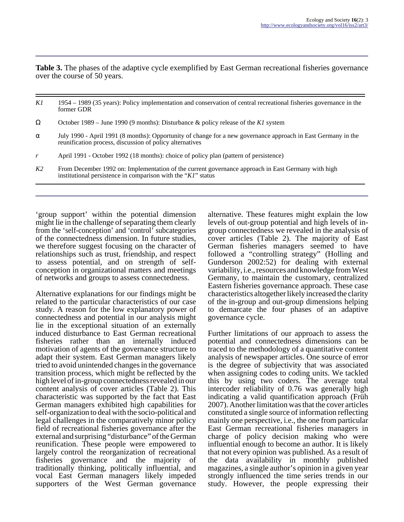**Table 3.** The phases of the adaptive cycle exemplified by East German recreational fisheries governance over the course of 50 years.

| KI       | 1954 – 1989 (35 years): Policy implementation and conservation of central recreational fisheries governance in the<br>former GDR                                          |
|----------|---------------------------------------------------------------------------------------------------------------------------------------------------------------------------|
| $\Omega$ | October 1989 – June 1990 (9 months): Disturbance & policy release of the Kl system                                                                                        |
| $\alpha$ | July 1990 - April 1991 (8 months): Opportunity of change for a new governance approach in East Germany in the<br>reunification process, discussion of policy alternatives |
| r        | April 1991 - October 1992 (18 months): choice of policy plan (pattern of persistence)                                                                                     |
| K2       | From December 1992 on: Implementation of the current governance approach in East Germany with high<br>institutional persistence in comparison with the " $KI$ " status    |
|          |                                                                                                                                                                           |

'group support' within the potential dimension might lie in the challenge of separating them clearly from the 'self-conception' and 'control' subcategories of the connectedness dimension. In future studies, we therefore suggest focusing on the character of relationships such as trust, friendship, and respect to assess potential, and on strength of selfconception in organizational matters and meetings of networks and groups to assess connectedness.

Alternative explanations for our findings might be related to the particular characteristics of our case study. A reason for the low explanatory power of connectedness and potential in our analysis might lie in the exceptional situation of an externally induced disturbance to East German recreational fisheries rather than an internally induced motivation of agents of the governance structure to adapt their system. East German managers likely tried to avoid unintended changes in the governance transition process, which might be reflected by the high level of in-group connectedness revealed in our content analysis of cover articles (Table 2). This characteristic was supported by the fact that East German managers exhibited high capabilities for self-organization to deal with the socio-political and legal challenges in the comparatively minor policy field of recreational fisheries governance after the external and surprising "disturbance" of the German reunification. These people were empowered to largely control the reorganization of recreational fisheries governance and the majority of traditionally thinking, politically influential, and vocal East German managers likely impeded supporters of the West German governance

alternative. These features might explain the low levels of out-group potential and high levels of ingroup connectedness we revealed in the analysis of cover articles (Table 2). The majority of East German fisheries managers seemed to have followed a "controlling strategy" (Holling and Gunderson 2002:52) for dealing with external variability, i.e., resources and knowledge from West Germany, to maintain the customary, centralized Eastern fisheries governance approach. These case characteristics altogether likely increased the clarity of the in-group and out-group dimensions helping to demarcate the four phases of an adaptive governance cycle.

Further limitations of our approach to assess the potential and connectedness dimensions can be traced to the methodology of a quantitative content analysis of newspaper articles. One source of error is the degree of subjectivity that was associated when assigning codes to coding units. We tackled this by using two coders. The average total intercoder reliability of 0.76 was generally high indicating a valid quantification approach (Früh 2007). Another limitation was that the cover articles constituted a single source of information reflecting mainly one perspective, i.e., the one from particular East German recreational fisheries managers in charge of policy decision making who were influential enough to become an author. It is likely that not every opinion was published. As a result of the data availability in monthly published magazines, a single author's opinion in a given year strongly influenced the time series trends in our study. However, the people expressing their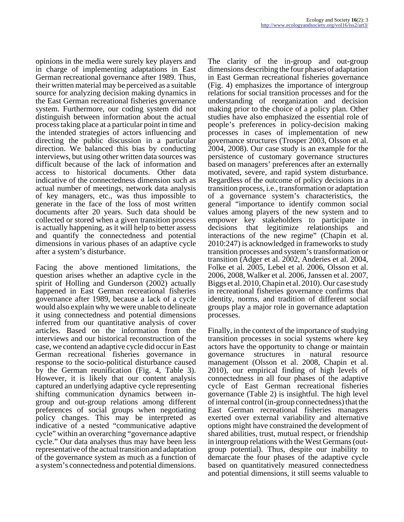opinions in the media were surely key players and in charge of implementing adaptations in East German recreational governance after 1989. Thus, their written material may be perceived as a suitable source for analyzing decision making dynamics in the East German recreational fisheries governance system. Furthermore, our coding system did not distinguish between information about the actual process taking place at a particular point in time and the intended strategies of actors influencing and directing the public discussion in a particular direction. We balanced this bias by conducting interviews, but using other written data sources was difficult because of the lack of information and access to historical documents. Other data indicative of the connectedness dimension such as actual number of meetings, network data analysis of key managers, etc., was thus impossible to generate in the face of the loss of most written documents after 20 years. Such data should be collected or stored when a given transition process is actually happening, as it will help to better assess and quantify the connectedness and potential dimensions in various phases of an adaptive cycle after a system's disturbance.

Facing the above mentioned limitations, the question arises whether an adaptive cycle in the spirit of Holling and Gunderson (2002) actually happened in East German recreational fisheries governance after 1989, because a lack of a cycle would also explain why we were unable to delineate it using connectedness and potential dimensions inferred from our quantitative analysis of cover articles. Based on the information from the interviews and our historical reconstruction of the case, we contend an adaptive cycle did occur in East German recreational fisheries governance in response to the socio-political disturbance caused by the German reunification (Fig. 4, Table 3). However, it is likely that our content analysis captured an underlying adaptive cycle representing shifting communication dynamics between ingroup and out-group relations among different preferences of social groups when negotiating policy changes. This may be interpreted as indicative of a nested "communicative adaptive cycle" within an overarching "governance adaptive cycle." Our data analyses thus may have been less representative of the actual transition and adaptation of the governance system as much as a function of a system's connectedness and potential dimensions.

The clarity of the in-group and out-group dimensions describing the four phases of adaptation in East German recreational fisheries governance (Fig. 4) emphasizes the importance of intergroup relations for social transition processes and for the understanding of reorganization and decision making prior to the choice of a policy plan. Other studies have also emphasized the essential role of people's preferences in policy-decision making processes in cases of implementation of new governance structures (Trosper 2003, Olsson et al. 2004, 2008). Our case study is an example for the persistence of customary governance structures based on managers' preferences after an externally motivated, severe, and rapid system disturbance. Regardless of the outcome of policy decisions in a transition process, i.e., transformation or adaptation of a governance system's characteristics, the general "importance to identify common social values among players of the new system and to empower key stakeholders to participate in decisions that legitimize relationships and interactions of the new regime" (Chapin et al. 2010:247) is acknowledged in frameworks to study transition processes and system's transformation or transition (Adger et al. 2002, Anderies et al. 2004, Folke et al. 2005, Lebel et al. 2006, Olsson et al. 2006, 2008, Walker et al. 2006, Janssen et al. 2007, Biggs et al. 2010, Chapin et al. 2010). Our case study in recreational fisheries governance confirms that identity, norms, and tradition of different social groups play a major role in governance adaptation processes.

Finally, in the context of the importance of studying transition processes in social systems where key actors have the opportunity to change or maintain governance structures in natural resource management (Olsson et al. 2008, Chapin et al. 2010), our empirical finding of high levels of connectedness in all four phases of the adaptive cycle of East German recreational fisheries governance (Table 2) is insightful. The high level of internal control (in-group connectedness) that the East German recreational fisheries managers exerted over external variability and alternative options might have constrained the development of shared abilities, trust, mutual respect, or friendship in intergroup relations with the West Germans (outgroup potential). Thus, despite our inability to demarcate the four phases of the adaptive cycle based on quantitatively measured connectedness and potential dimensions, it still seems valuable to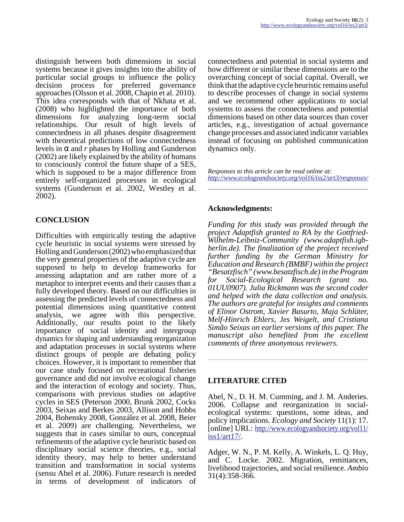distinguish between both dimensions in social systems because it gives insights into the ability of particular social groups to influence the policy decision process for preferred governance approaches (Olsson et al. 2008, Chapin et al. 2010). This idea corresponds with that of Nkhata et al. (2008) who highlighted the importance of both dimensions for analyzing long-term social relationships. Our result of high levels of connectedness in all phases despite disagreement with theoretical predictions of low connectedness levels in  $\alpha$  and  $r$  phases by Holling and Gunderson (2002) are likely explained by the ability of humans to consciously control the future shape of a SES, which is supposed to be a major difference from entirely self-organized processes in ecological systems (Gunderson et al. 2002, Westley et al. 2002).

# **CONCLUSION**

Difficulties with empirically testing the adaptive cycle heuristic in social systems were stressed by Holling and Gunderson (2002) who emphasized that the very general properties of the adaptive cycle are supposed to help to develop frameworks for assessing adaptation and are rather more of a metaphor to interpret events and their causes than a fully developed theory. Based on our difficulties in assessing the predicted levels of connectedness and potential dimensions using quantitative content analysis, we agree with this perspective. Additionally, our results point to the likely importance of social identity and intergroup dynamics for shaping and understanding reorganization and adaptation processes in social systems where distinct groups of people are debating policy choices. However, it is important to remember that our case study focused on recreational fisheries governance and did not involve ecological change and the interaction of ecology and society. Thus, comparisons with previous studies on adaptive cycles in SES (Peterson 2000, Brunk 2002, Cocks 2003, Seixas and Berkes 2003, Allison and Hobbs 2004, Bohensky 2008, González et al. 2008, Beier et al. 2009) are challenging. Nevertheless, we suggests that in cases similar to ours, conceptual refinements of the adaptive cycle heuristic based on disciplinary social science theories, e.g., social identity theory, may help to better understand transition and transformation in social systems (sensu Abel et al. 2006). Future research is needed in terms of development of indicators of connectedness and potential in social systems and how different or similar these dimensions are to the overarching concept of social capital. Overall, we think that the adaptive cycle heuristic remains useful to describe processes of change in social systems and we recommend other applications to social systems to assess the connectedness and potential dimensions based on other data sources than cover articles, e.g., investigation of actual governance change processes and associated indicator variables instead of focusing on published communication dynamics only.

*Responses to this article can be read online at: <http://www.ecologyandsociety.org/vol16/iss2/art3/responses/>*

## **Acknowledgments:**

*Funding for this study was provided through the project Adaptfish granted to RA by the Gottfried-Wilhelm-Leibniz-Community (www.adaptfish.igbberlin.de). The finalization of the project received further funding by the German Ministry for Education and Research (BMBF) within the project "Besatzfisch" (www.besatzfisch.de) in the Program for Social-Ecological Research (grant no. 01UU0907). Julia Rickmann was the second coder and helped with the data collection and analysis. The authors are grateful for insights and comments of Elinor Ostrom, Xavier Basurto, Maja Schlüter, Melf-Hinrich Ehlers, Jes Weigelt, and Cristiana Simão Seixas on earlier versions of this paper. The manuscript also benefited from the excellent comments of three anonymous reviewers.*

## **LITERATURE CITED**

Abel, N., D. H. M. Cumming, and J. M. Anderies. 2006. Collapse and reorganization in socialecological systems: questions, some ideas, and policy implications. *Ecology and Society* 11(1): 17. [online] URL: [http://www.ecologyandsociety.org/vol11/](http://www.ecologyandsociety.org/vol11/iss1/art17/) [iss1/art17/](http://www.ecologyandsociety.org/vol11/iss1/art17/).

Adger, W. N., P. M. Kelly, A. Winkels, L. Q. Huy, and C. Locke. 2002. Migration, remittances, livelihood trajectories, and social resilience. *Ambio* 31(4):358-366.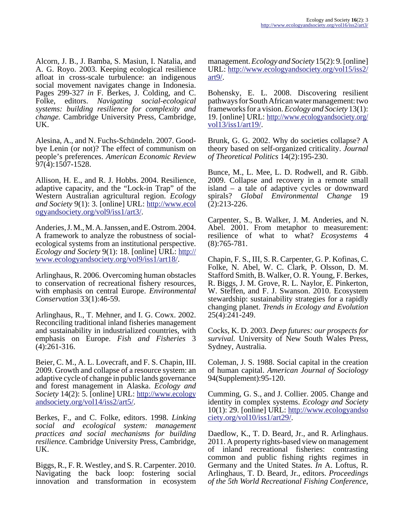Alcorn, J. B., J. Bamba, S. Masiun, I. Natalia, and A. G. Royo. 2003. Keeping ecological resilience afloat in cross-scale turbulence: an indigenous social movement navigates change in Indonesia. Pages 299-327 *in* F. Berkes, J. Colding, and C. Folke, editors. *Navigating social-ecological systems: building resilience for complexity and change.* Cambridge University Press, Cambridge, UK.

Alesina, A., and N. Fuchs-Schündeln. 2007. Goodbye Lenin (or not)? The effect of communism on people's preferences. *American Economic Review* 97(4):1507-1528.

Allison, H. E., and R. J. Hobbs. 2004. Resilience, adaptive capacity, and the "Lock-in Trap" of the Western Australian agricultural region. *Ecology and Society* 9(1): 3. [online] URL: [http://www.ecol](http://www.ecologyandsociety.org/vol9/iss1/art3/) [ogyandsociety.org/vol9/iss1/art3/](http://www.ecologyandsociety.org/vol9/iss1/art3/).

Anderies, J. M., M. A. Janssen, and E. Ostrom. 2004. A framework to analyze the robustness of socialecological systems from an institutional perspective. *Ecology and Society* 9(1): 18. [online] URL: [http://](http://www.ecologyandsociety.org/vol9/iss1/art18/) [www.ecologyandsociety.org/vol9/iss1/art18/](http://www.ecologyandsociety.org/vol9/iss1/art18/).

Arlinghaus, R. 2006. Overcoming human obstacles to conservation of recreational fishery resources, with emphasis on central Europe. *Environmental Conservation* 33(1):46-59.

Arlinghaus, R., T. Mehner, and I. G. Cowx. 2002. Reconciling traditional inland fisheries management and sustainability in industrialized countries, with emphasis on Europe. *Fish and Fisheries* 3 (4):261-316.

Beier, C. M., A. L. Lovecraft, and F. S. Chapin, III. 2009. Growth and collapse of a resource system: an adaptive cycle of change in public lands governance and forest management in Alaska. *Ecology and Society* 14(2): 5. [online] URL: [http://www.ecology](http://www.ecologyandsociety.org/vol14/iss2/art5/) [andsociety.org/vol14/iss2/art5/](http://www.ecologyandsociety.org/vol14/iss2/art5/).

Berkes, F., and C. Folke, editors. 1998. *Linking social and ecological system: management practices and social mechanisms for building resilience.* Cambridge University Press, Cambridge, UK.

Biggs, R., F. R. Westley, and S. R. Carpenter. 2010. Navigating the back loop: fostering social innovation and transformation in ecosystem

management. *Ecology and Society* 15(2): 9. [online] URL: [http://www.ecologyandsociety.org/vol15/iss2/](http://www.ecologyandsociety.org/vol15/iss2/art9/) [art9/.](http://www.ecologyandsociety.org/vol15/iss2/art9/)

Bohensky, E. L. 2008. Discovering resilient pathways for South African water management: two frameworks for a vision. *Ecology and Society* 13(1): 19. [online] URL: [http://www.ecologyandsociety.org/](http://www.ecologyandsociety.org/vol13/iss1/art19/) [vol13/iss1/art19/.](http://www.ecologyandsociety.org/vol13/iss1/art19/)

Brunk, G. G. 2002. Why do societies collapse? A theory based on self-organized criticality. *Journal of Theoretical Politics* 14(2):195-230.

Bunce, M., L. Mee, L. D. Rodwell, and R. Gibb. 2009. Collapse and recovery in a remote small island – a tale of adaptive cycles or downward spirals? *Global Environmental Change* 19  $(2):213-226.$ 

Carpenter, S., B. Walker, J. M. Anderies, and N. Abel. 2001. From metaphor to measurement: resilience of what to what? *Ecosystems* 4 (8):765-781.

Chapin, F. S., III, S. R. Carpenter, G. P. Kofinas, C. Folke, N. Abel, W. C. Clark, P. Olsson, D. M. Stafford Smith, B. Walker, O. R. Young, F. Berkes, R. Biggs, J. M. Grove, R. L. Naylor, E. Pinkerton, W. Steffen, and F. J. Swanson. 2010. Ecosystem stewardship: sustainability strategies for a rapidly changing planet. *Trends in Ecology and Evolution* 25(4):241-249.

Cocks, K. D. 2003. *Deep futures: our prospects for survival.* University of New South Wales Press, Sydney, Australia.

Coleman, J. S. 1988. Social capital in the creation of human capital. *American Journal of Sociology* 94(Supplement):95-120.

Cumming, G. S., and J. Collier. 2005. Change and identity in complex systems. *Ecology and Society*  $10(1)$ : 29. [online] URL: [http://www.ecologyandso](http://www.ecologyandsociety.org/vol10/iss1/art29/) [ciety.org/vol10/iss1/art29/](http://www.ecologyandsociety.org/vol10/iss1/art29/).

Daedlow, K., T. D. Beard, Jr., and R. Arlinghaus. 2011. A property rights-based view on management of inland recreational fisheries: contrasting common and public fishing rights regimes in Germany and the United States. *In* A. Loftus, R. Arlinghaus, T. D. Beard, Jr., editors. *Proceedings of the 5th World Recreational Fishing Conference,*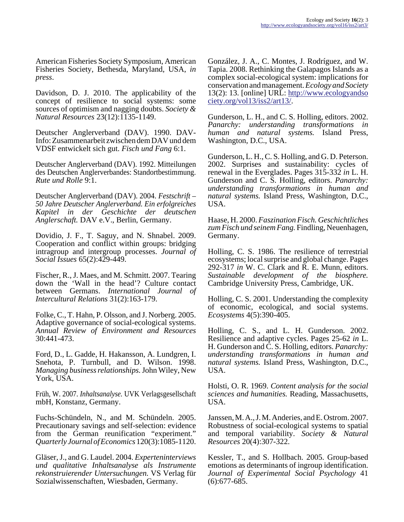American Fisheries Society Symposium, American Fisheries Society, Bethesda, Maryland, USA, *in press*.

Davidson, D. J. 2010. The applicability of the concept of resilience to social systems: some sources of optimism and nagging doubts. *Society & Natural Resources* 23(12):1135-1149.

Deutscher Anglerverband (DAV). 1990. DAV-Info: Zusammenarbeit zwischen dem DAV und dem VDSF entwickelt sich gut. *Fisch und Fang* 6:1.

Deutscher Anglerverband (DAV). 1992. Mitteilungen des Deutschen Anglerverbandes: Standortbestimmung. *Rute und Rolle* 9:1.

Deutscher Anglerverband (DAV). 2004. *Festschrift – 50 Jahre Deutscher Anglerverband. Ein erfolgreiches Kapitel in der Geschichte der deutschen Anglerschaft.* DAV e.V., Berlin, Germany.

Dovidio, J. F., T. Saguy, and N. Shnabel. 2009. Cooperation and conflict within groups: bridging intragroup and intergroup processes. *Journal of Social Issues* 65(2):429-449.

Fischer, R., J. Maes, and M. Schmitt. 2007. Tearing down the 'Wall in the head'? Culture contact between Germans. *International Journal of Intercultural Relations* 31(2):163-179.

Folke, C., T. Hahn, P. Olsson, and J. Norberg. 2005. Adaptive governance of social-ecological systems. *Annual Review of Environment and Resources* 30:441-473.

Ford, D., L. Gadde, H. Hakansson, A. Lundgren, I. Snehota, P. Turnbull, and D. Wilson. 1998. *Managing business relationships.* John Wiley, New York, USA.

Früh, W. 2007. *Inhaltsanalyse.* UVK Verlagsgesellschaft mbH, Konstanz, Germany.

Fuchs-Schündeln, N., and M. Schündeln. 2005. Precautionary savings and self-selection: evidence from the German reunification "experiment." *Quarterly Journal of Economics* 120(3):1085-1120.

Gläser, J., and G. Laudel. 2004. *Experteninterviews und qualitative Inhaltsanalyse als Instrumente rekonstruierender Untersuchungen.* VS Verlag für Sozialwissenschaften, Wiesbaden, Germany.

González, J. A., C. Montes, J. Rodríguez, and W. Tapia. 2008. Rethinking the Galapagos Islands as a complex social-ecological system: implications for conservation and management. *Ecology and Society* 13(2): 13. [online] URL: [http://www.ecologyandso](http://www.ecologyandsociety.org/vol13/iss2/art13/) [ciety.org/vol13/iss2/art13/](http://www.ecologyandsociety.org/vol13/iss2/art13/).

Gunderson, L. H., and C. S. Holling, editors. 2002. *Panarchy: understanding transformations in human and natural systems.* Island Press, Washington, D.C., USA.

Gunderson, L. H., C. S. Holling, and G. D. Peterson. 2002. Surprises and sustainability: cycles of renewal in the Everglades. Pages 315-332 *in* L. H. Gunderson and C. S. Holling, editors. *Panarchy: understanding transformations in human and natural systems.* Island Press, Washington, D.C., USA.

Haase, H. 2000. *Faszination Fisch. Geschichtliches zum Fisch und seinem Fang.* Findling, Neuenhagen, Germany.

Holling, C. S. 1986. The resilience of terrestrial ecosystems; local surprise and global change. Pages 292-317 *in* W. C. Clark and R. E. Munn, editors. *Sustainable development of the biosphere.* Cambridge University Press, Cambridge, UK.

Holling, C. S. 2001. Understanding the complexity of economic, ecological, and social systems. *Ecosystems* 4(5):390-405.

Holling, C. S., and L. H. Gunderson. 2002. Resilience and adaptive cycles. Pages 25-62 *in* L. H. Gunderson and C. S. Holling, editors. *Panarchy: understanding transformations in human and natural systems.* Island Press, Washington, D.C., USA.

Holsti, O. R. 1969. *Content analysis for the social sciences and humanities.* Reading, Massachusetts, USA.

Janssen, M. A., J. M. Anderies, and E. Ostrom. 2007. Robustness of social-ecological systems to spatial and temporal variability. *Society & Natural Resources* 20(4):307-322.

Kessler, T., and S. Hollbach. 2005. Group-based emotions as determinants of ingroup identification. *Journal of Experimental Social Psychology* 41 (6):677-685.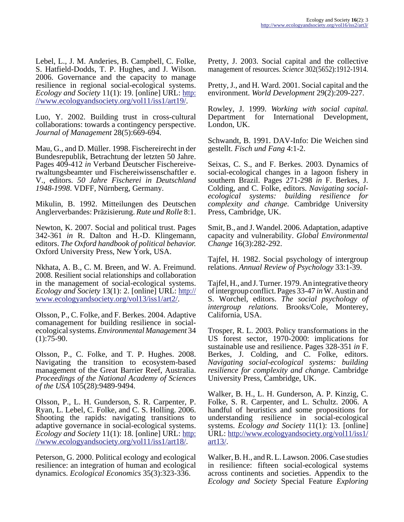Lebel, L., J. M. Anderies, B. Campbell, C. Folke, S. Hatfield-Dodds, T. P. Hughes, and J. Wilson. 2006. Governance and the capacity to manage resilience in regional social-ecological systems. *Ecology and Society* 11(1): 19. [online] URL: [http:](http://www.ecologyandsociety.org/vol11/iss1/art19/) [//www.ecologyandsociety.org/vol11/iss1/art19/.](http://www.ecologyandsociety.org/vol11/iss1/art19/)

Luo, Y. 2002. Building trust in cross-cultural collaborations: towards a contingency perspective. *Journal of Management* 28(5):669-694.

Mau, G., and D. Müller. 1998. Fischereirecht in der Bundesrepublik, Betrachtung der letzten 50 Jahre. Pages 409-412 *in* Verband Deutscher Fischereiverwaltungsbeamter und Fischereiwissenschaftler e. V., editors. *50 Jahre Fischerei in Deutschland 1948-1998*. VDFF, Nürnberg, Germany.

Mikulin, B. 1992. Mitteilungen des Deutschen Anglerverbandes: Präzisierung. *Rute und Rolle* 8:1.

Newton, K. 2007. Social and political trust. Pages 342-361 *in* R. Dalton and H.-D. Klingemann, editors. *The Oxford handbook of political behavior.* Oxford University Press, New York, USA.

Nkhata, A. B., C. M. Breen, and W. A. Freimund. 2008. Resilient social relationships and collaboration in the management of social-ecological systems. *Ecology and Society* 13(1): 2. [online] URL: [http://](http://www.ecologyandsociety.org/vol13/iss1/art2/) [www.ecologyandsociety.org/vol13/iss1/art2/](http://www.ecologyandsociety.org/vol13/iss1/art2/).

Olsson, P., C. Folke, and F. Berkes. 2004. Adaptive comanagement for building resilience in socialecological systems. *Environmental Management* 34  $(1):75-90.$ 

Olsson, P., C. Folke, and T. P. Hughes. 2008. Navigating the transition to ecosystem-based management of the Great Barrier Reef, Australia. *Proceedings of the National Academy of Sciences of the USA* 105(28):9489-9494.

Olsson, P., L. H. Gunderson, S. R. Carpenter, P. Ryan, L. Lebel, C. Folke, and C. S. Holling. 2006. Shooting the rapids: navigating transitions to adaptive governance in social-ecological systems. *Ecology and Society* 11(1): 18. [online] URL: [http:](http://www.ecologyandsociety.org/vol11/iss1/art18/) [//www.ecologyandsociety.org/vol11/iss1/art18/.](http://www.ecologyandsociety.org/vol11/iss1/art18/)

Peterson, G. 2000. Political ecology and ecological resilience: an integration of human and ecological dynamics. *Ecological Economics* 35(3):323-336.

Pretty, J. 2003. Social capital and the collective management of resources. *Science* 302(5652):1912-1914.

Pretty, J., and H. Ward. 2001. Social capital and the environment. *World Development* 29(2):209-227.

Rowley, J. 1999. *Working with social capital.* Department for International Development, London, UK.

Schwandt, B. 1991. DAV-Info: Die Weichen sind gestellt. *Fisch und Fang* 4:1-2.

Seixas, C. S., and F. Berkes. 2003. Dynamics of social-ecological changes in a lagoon fishery in southern Brazil. Pages 271-298 *in* F. Berkes, J. Colding, and C. Folke, editors. *Navigating socialecological systems: building resilience for complexity and change.* Cambridge University Press, Cambridge, UK.

Smit, B., and J. Wandel. 2006. Adaptation, adaptive capacity and vulnerability. *Global Environmental Change* 16(3):282-292.

Tajfel, H. 1982. Social psychology of intergroup relations. *Annual Review of Psychology* 33:1-39.

Tajfel, H., and J. Turner. 1979. An integrative theory of intergroup conflict. Pages 33-47 *in* W. Austin and S. Worchel, editors. *The social psychology of intergroup relations.* Brooks/Cole, Monterey, California, USA.

Trosper, R. L. 2003. Policy transformations in the US forest sector, 1970-2000: implications for sustainable use and resilience. Pages 328-351 *in* F. Berkes, J. Colding, and C. Folke, editors. *Navigating social-ecological systems: building resilience for complexity and change.* Cambridge University Press, Cambridge, UK.

Walker, B. H., L. H. Gunderson, A. P. Kinzig, C. Folke, S. R. Carpenter, and L. Schultz. 2006. A handful of heuristics and some propositions for understanding resilience in social-ecological systems. *Ecology and Society* 11(1): 13. [online] URL: [http://www.ecologyandsociety.org/vol11/iss1/](http://www.ecologyandsociety.org/vol11/iss1/art13/) [art13/.](http://www.ecologyandsociety.org/vol11/iss1/art13/)

Walker, B. H., and R. L. Lawson. 2006. Case studies in resilience: fifteen social-ecological systems across continents and societies. Appendix to the *Ecology and Society* Special Feature *Exploring*